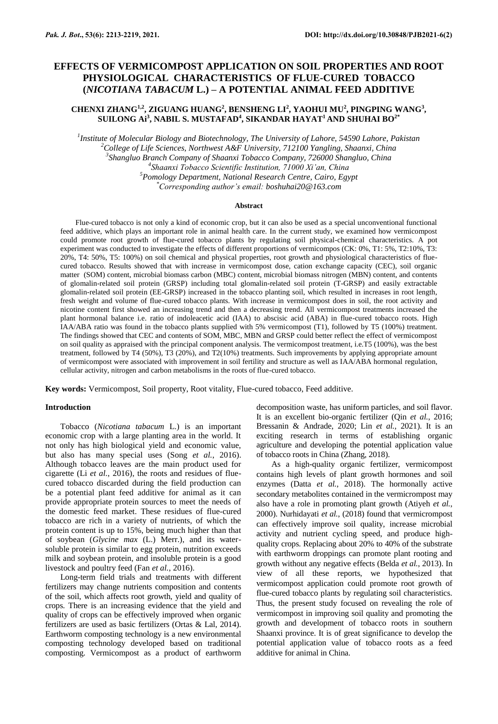# **EFFECTS OF VERMICOMPOST APPLICATION ON SOIL PROPERTIES AND ROOT PHYSIOLOGICAL CHARACTERISTICS OF FLUE-CURED TOBACCO (***NICOTIANA TABACUM* **L.) – A POTENTIAL ANIMAL FEED ADDITIVE**

# **CHENXI ZHANG1,2, ZIGUANG HUANG<sup>2</sup> , BENSHENG LI<sup>2</sup> , YAOHUI MU<sup>2</sup> , PINGPING WANG<sup>3</sup> , SUILONG Ai<sup>3</sup> , NABIL S. MUSTAFAD<sup>4</sup> , SIKANDAR HAYAT<sup>1</sup>AND SHUHAI BO2\***

 *Institute of Molecular Biology and Biotechnology, The University of Lahore, 54590 Lahore, Pakistan College of Life Sciences, Northwest A&F University, 712100 Yangling, Shaanxi, China Shangluo Branch Company of Shaanxi Tobacco Company, 726000 Shangluo, China Shaanxi Tobacco Scientific Institution, 71000 Xi'an, China Pomology Department, National Research Centre, Cairo, Egypt \*Corresponding author's email: boshuhai20@163.com*

### **Abstract**

Flue-cured tobacco is not only a kind of economic crop, but it can also be used as a special unconventional functional feed additive, which plays an important role in animal health care. In the current study, we examined how vermicompost could promote root growth of flue-cured tobacco plants by regulating soil physical-chemical characteristics. A pot experiment was conducted to investigate the effects of different proportions of vermicompos (CK: 0%, T1: 5%, T2:10%, T3: 20%, T4: 50%, T5: 100%) on soil chemical and physical properties, root growth and physiological characteristics of fluecured tobacco. Results showed that with increase in vermicompost dose, cation exchange capacity (CEC), soil organic matter (SOM) content, microbial biomass carbon (MBC) content, microbial biomass nitrogen (MBN) content, and contents of glomalin-related soil protein (GRSP) including total glomalin-related soil protein (T-GRSP) and easily extractable glomalin-related soil protein (EE-GRSP) increased in the tobacco planting soil, which resulted in increases in root length, fresh weight and volume of flue-cured tobacco plants. With increase in vermicompost does in soil, the root activity and nicotine content first showed an increasing trend and then a decreasing trend. All vermicompost treatments increased the plant hormonal balance i.e. ratio of indoleacetic acid (IAA) to abscisic acid (ABA) in flue-cured tobacco roots. High IAA/ABA ratio was found in the tobacco plants supplied with 5% vermicompost (T1), followed by T5 (100%) treatment. The findings showed that CEC and contents of SOM, MBC, MBN and GRSP could better reflect the effect of vermicompost on soil quality as appraised with the principal component analysis. The vermicompost treatment, i.e.T5 (100%), was the best treatment, followed by T4 (50%), T3 (20%), and T2(10%) treatments. Such improvements by applying appropriate amount of vermicompost were associated with improvement in soil fertility and structure as well as IAA/ABA hormonal regulation, cellular activity, nitrogen and carbon metabolisms in the roots of flue-cured tobacco.

**Key words:** Vermicompost, Soil property, Root vitality, Flue-cured tobacco, Feed additive.

#### **Introduction**

Tobacco (*Nicotiana tabacum* L.) is an important economic crop with a large planting area in the world. It not only has high biological yield and economic value, but also has many special uses (Song *et al.*, 2016). Although tobacco leaves are the main product used for cigarette (Li *et al.*, 2016), the roots and residues of fluecured tobacco discarded during the field production can be a potential plant feed additive for animal as it can provide appropriate protein sources to meet the needs of the domestic feed market. These residues of flue-cured tobacco are rich in a variety of nutrients, of which the protein content is up to 15%, being much higher than that of soybean (*Glycine max* (L.) Merr.), and its watersoluble protein is similar to egg protein, nutrition exceeds milk and soybean protein, and insoluble protein is a good livestock and poultry feed (Fan *et al.*, 2016).

Long-term field trials and treatments with different fertilizers may change nutrients composition and contents of the soil, which affects root growth, yield and quality of crops. There is an increasing evidence that the yield and quality of crops can be effectively improved when organic fertilizers are used as basic fertilizers (Ortas & Lal, 2014). Earthworm composting technology is a new environmental composting technology developed based on traditional composting. Vermicompost as a product of earthworm decomposition waste, has uniform particles, and soil flavor. It is an excellent bio-organic fertilizer (Qin *et al.*, 2016; Bressanin & Andrade, 2020; Lin *et al.*, 2021). It is an exciting research in terms of establishing organic agriculture and developing the potential application value of tobacco roots in China (Zhang, 2018).

As a high-quality organic fertilizer, vermicompost contains high levels of plant growth hormones and soil enzymes (Datta *et al.*, 2018). The hormonally active secondary metabolites contained in the vermicrompost may also have a role in promoting plant growth (Atiyeh *et al.*, 2000). Nurhidayati *et al.*, (2018) found that vermicrompost can effectively improve soil quality, increase microbial activity and nutrient cycling speed, and produce highquality crops. Replacing about 20% to 40% of the substrate with earthworm droppings can promote plant rooting and growth without any negative effects (Belda *et al.*, 2013). In view of all these reports, we hypothesized that vermicompost application could promote root growth of flue-cured tobacco plants by regulating soil characteristics. Thus, the present study focused on revealing the role of vermicompost in improving soil quality and promoting the growth and development of tobacco roots in southern Shaanxi province. It is of great significance to develop the potential application value of tobacco roots as a feed additive for animal in China.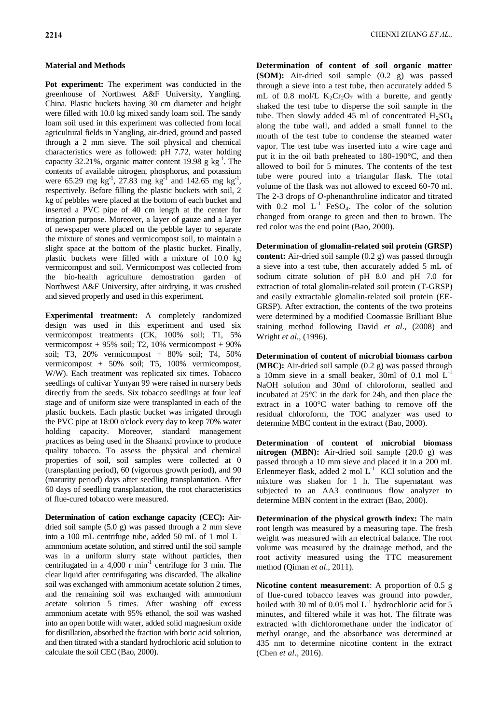# **Material and Methods**

**Pot experiment:** The experiment was conducted in the greenhouse of Northwest A&F University, Yangling, China. Plastic buckets having 30 cm diameter and height were filled with 10.0 kg mixed sandy loam soil. The sandy loam soil used in this experiment was collected from local agricultural fields in Yangling, air-dried, ground and passed through a 2 mm sieve. The soil physical and chemical characteristics were as followed: pH 7.72, water holding capacity 32.21%, organic matter content 19.98 g  $kg^{-1}$ . The contents of available nitrogen, phosphorus, and potassium were 65.29 mg kg<sup>-1</sup>, 27.83 mg kg<sup>-1</sup> and 142.65 mg kg<sup>-1</sup>, respectively. Before filling the plastic buckets with soil, 2 kg of pebbles were placed at the bottom of each bucket and inserted a PVC pipe of 40 cm length at the center for irrigation purpose. Moreover, a layer of gauze and a layer of newspaper were placed on the pebble layer to separate the mixture of stones and vermicompost soil, to maintain a slight space at the bottom of the plastic bucket. Finally, plastic buckets were filled with a mixture of 10.0 kg vermicompost and soil. Vermicompost was collected from the bio-health agriculture demostration garden of Northwest A&F University, after airdrying, it was crushed and sieved properly and used in this experiment.

**Experimental treatment:** A completely randomized design was used in this experiment and used six vermicompost treatments (CK, 100% soil; T1, 5% vermicompost +  $95\%$  soil; T2, 10% vermicompost +  $90\%$ soil; T3, 20% vermicompost + 80% soil; T4, 50% vermicompost + 50% soil; T5, 100% vermicompost, W/W). Each treatment was replicated six times. Tobacco seedlings of cultivar Yunyan 99 were raised in nursery beds directly from the seeds. Six tobacco seedlings at four leaf stage and of uniform size were transplanted in each of the plastic buckets. Each plastic bucket was irrigated through the PVC pipe at 18:00 o'clock every day to keep 70% water holding capacity. Moreover, standard management practices as being used in the Shaanxi province to produce quality tobacco. To assess the physical and chemical properties of soil, soil samples were collected at 0 (transplanting period), 60 (vigorous growth period), and 90 (maturity period) days after seedling transplantation. After 60 days of seedling transplantation, the root characteristics of flue-cured tobacco were measured.

**Determination of cation exchange capacity (CEC):** Airdried soil sample (5.0 g) was passed through a 2 mm sieve into a 100 mL centrifuge tube, added 50 mL of 1 mol  $L^{-1}$ ammonium acetate solution, and stirred until the soil sample was in a uniform slurry state without particles, then centrifugated in a  $4,000$  r min<sup>-1</sup> centrifuge for 3 min. The clear liquid after centrifugating was discarded. The alkaline soil was exchanged with ammonium acetate solution 2 times, and the remaining soil was exchanged with ammonium acetate solution 5 times. After washing off excess ammonium acetate with 95% ethanol, the soil was washed into an open bottle with water, added solid magnesium oxide for distillation, absorbed the fraction with boric acid solution, and then titrated with a standard hydrochloric acid solution to calculate the soil CEC (Bao, 2000).

**Determination of content of soil organic matter (SOM):** Air-dried soil sample (0.2 g) was passed through a sieve into a test tube, then accurately added 5 mL of 0.8 mol/L  $K_2Cr_2O_7$  with a burette, and gently shaked the test tube to disperse the soil sample in the tube. Then slowly added 45 ml of concentrated  $H_2SO_4$ along the tube wall, and added a small funnel to the mouth of the test tube to condense the steamed water vapor. The test tube was inserted into a wire cage and put it in the oil bath preheated to 180-190°C, and then allowed to boil for 5 minutes. The contents of the test tube were poured into a triangular flask. The total volume of the flask was not allowed to exceed 60-70 ml. The 2-3 drops of *O*-phenanthroline indicator and titrated with  $0.2$  mol  $L^{-1}$  FeSO<sub>4</sub>. The color of the solution changed from orange to green and then to brown. The red color was the end point (Bao, 2000).

**Determination of glomalin-related soil protein (GRSP) content:** Air-dried soil sample (0.2 g) was passed through a sieve into a test tube, then accurately added 5 mL of sodium citrate solution of pH 8.0 and pH 7.0 for extraction of total glomalin-related soil protein (T-GRSP) and easily extractable glomalin-related soil protein (EE-GRSP). After extraction, the contents of the two proteins were determined by a modified Coomassie Brilliant Blue staining method following David *et al*., (2008) and Wright *et al.*, (1996).

**Determination of content of microbial biomass carbon (MBC):** Air-dried soil sample (0.2 g) was passed through a 10mm sieve in a small beaker, 30ml of 0.1 mol L-1 NaOH solution and 30ml of chloroform, sealled and incubated at 25°C in the dark for 24h, and then place the extract in a 100°C water bathing to remove off the residual chloroform, the TOC analyzer was used to determine MBC content in the extract (Bao, 2000).

**Determination of content of microbial biomass nitrogen (MBN):** Air-dried soil sample (20.0 g) was passed through a 10 mm sieve and placed it in a 200 mL Erlenmeyer flask, added 2 mol  $L^{-1}$  KCl solution and the mixture was shaken for 1 h. The supernatant was subjected to an AA3 continuous flow analyzer to determine MBN content in the extract (Bao, 2000).

**Determination of the physical growth index:** The main root length was measured by a measuring tape. The fresh weight was measured with an electrical balance. The root volume was measured by the drainage method, and the root activity measured using the TTC measurement method (Qiman *et al*., 2011).

**Nicotine content measurement**: A proportion of 0.5 g of flue-cured tobacco leaves was ground into powder, boiled with 30 ml of 0.05 mol  $L^{-1}$  hydrochloric acid for 5 minutes, and filtered while it was hot. The filtrate was extracted with dichloromethane under the indicator of methyl orange, and the absorbance was determined at 435 nm to determine nicotine content in the extract (Chen *et al*., 2016).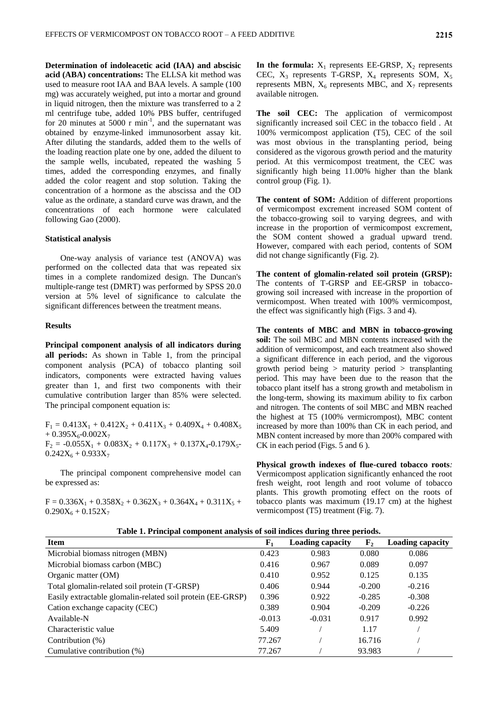**Determination of indoleacetic acid (IAA) and abscisic acid (ABA) concentrations:** The ELLSA kit method was used to measure root IAA and BAA levels. A sample (100 mg) was accurately weighed, put into a mortar and ground in liquid nitrogen, then the mixture was transferred to a 2 ml centrifuge tube, added 10% PBS buffer, centrifuged for 20 minutes at 5000  $r$  min<sup>-1</sup>, and the supernatant was obtained by enzyme-linked immunosorbent assay kit. After diluting the standards, added them to the wells of the loading reaction plate one by one, added the diluent to the sample wells, incubated, repeated the washing 5 times, added the corresponding enzymes, and finally added the color reagent and stop solution. Taking the concentration of a hormone as the abscissa and the OD value as the ordinate, a standard curve was drawn, and the concentrations of each hormone were calculated following Gao (2000).

#### **Statistical analysis**

One-way analysis of variance test (ANOVA) was performed on the collected data that was repeated six times in a complete randomized design. The Duncan's multiple-range test (DMRT) was performed by SPSS 20.0 version at 5% level of significance to calculate the significant differences between the treatment means.

#### **Results**

**Principal component analysis of all indicators during all periods:** As shown in Table 1, from the principal component analysis (PCA) of tobacco planting soil indicators, components were extracted having values greater than 1, and first two components with their cumulative contribution larger than 85% were selected. The principal component equation is:

 $F_1 = 0.413X_1 + 0.412X_2 + 0.411X_3 + 0.409X_4 + 0.408X_5$  $+ 0.395X_6 - 0.002X_7$  $F_2 = -0.055X_1 + 0.083X_2 + 0.117X_3 + 0.137X_4 - 0.179X_5$  $0.242X_6 + 0.933X_7$ 

The principal component comprehensive model can be expressed as:

 $F = 0.336X_1 + 0.358X_2 + 0.362X_3 + 0.364X_4 + 0.311X_5 +$  $0.290X_6 + 0.152X_7$ 

In the formula:  $X_1$  represents EE-GRSP,  $X_2$  represents CEC,  $X_3$  represents T-GRSP,  $X_4$  represents SOM,  $X_5$ represents MBN,  $X_6$  represents MBC, and  $X_7$  represents available nitrogen.

**The soil CEC:** The application of vermicompost significantly increased soil CEC in the tobacco field . At 100% vermicompost application (T5), CEC of the soil was most obvious in the transplanting period, being considered as the vigorous growth period and the maturity period. At this vermicompost treatment, the CEC was significantly high being 11.00% higher than the blank control group (Fig. 1).

The content of SOM: Addition of different proportions of vermicompost excrement increased SOM content of the tobacco-growing soil to varying degrees, and with increase in the proportion of vermicompost excrement, the SOM content showed a gradual upward trend. However, compared with each period, contents of SOM did not change significantly (Fig. 2).

**The content of glomalin-related soil protein (GRSP):** The contents of T-GRSP and EE-GRSP in tobaccogrowing soil increased with increase in the proportion of vermicompost. When treated with 100% vermicompost, the effect was significantly high (Figs. 3 and 4).

**The contents of MBC and MBN in tobacco-growing soil:** The soil MBC and MBN contents increased with the addition of vermicompost, and each treatment also showed a significant difference in each period, and the vigorous growth period being > maturity period > transplanting period. This may have been due to the reason that the tobacco plant itself has a strong growth and metabolism in the long-term, showing its maximum ability to fix carbon and nitrogen. The contents of soil MBC and MBN reached the highest at T5 (100% vermicrompost), MBC content increased by more than 100% than CK in each period, and MBN content increased by more than 200% compared with CK in each period (Figs. 5 and 6 ).

**Physical growth indexes of flue-cured tobacco roots***:*  Vermicompost application significantly enhanced the root fresh weight, root length and root volume of tobacco plants. This growth promoting effect on the roots of tobacco plants was maximum (19.17 cm) at the highest vermicompost (T5) treatment (Fig. 7).

**Table 1. Principal component analysis of soil indices during three periods.**

| Tuble 1: 1 Hillsput component unurgen of non-mulces uuring tin ee perfousi |             |                         |             |                         |
|----------------------------------------------------------------------------|-------------|-------------------------|-------------|-------------------------|
| <b>Item</b>                                                                | ${\bf F}_1$ | <b>Loading capacity</b> | ${\bf F_2}$ | <b>Loading capacity</b> |
| Microbial biomass nitrogen (MBN)                                           | 0.423       | 0.983                   | 0.080       | 0.086                   |
| Microbial biomass carbon (MBC)                                             | 0.416       | 0.967                   | 0.089       | 0.097                   |
| Organic matter (OM)                                                        | 0.410       | 0.952                   | 0.125       | 0.135                   |
| Total glomalin-related soil protein (T-GRSP)                               | 0.406       | 0.944                   | $-0.200$    | $-0.216$                |
| Easily extractable glomalin-related soil protein (EE-GRSP)                 | 0.396       | 0.922                   | $-0.285$    | $-0.308$                |
| Cation exchange capacity (CEC)                                             | 0.389       | 0.904                   | $-0.209$    | $-0.226$                |
| Available-N                                                                | $-0.013$    | $-0.031$                | 0.917       | 0.992                   |
| Characteristic value                                                       | 5.409       |                         | 1.17        |                         |
| Contribution $(\%)$                                                        | 77.267      |                         | 16.716      |                         |
| Cumulative contribution $(\%)$                                             | 77.267      |                         | 93.983      |                         |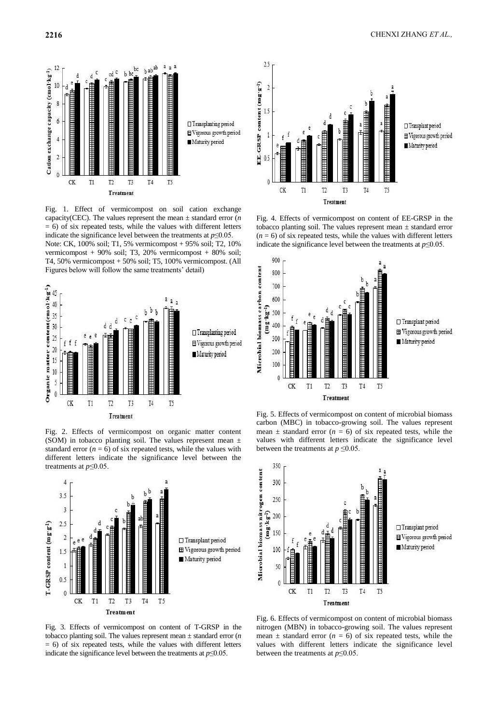



Fig. 1. Effect of vermicompost on soil cation exchange capacity(CEC). The values represent the mean  $\pm$  standard error (*n*)  $= 6$ ) of six repeated tests, while the values with different letters indicate the significance level between the treatments at  $p \leq 0.05$ . Note: CK, 100% soil; T1, 5% vermicompost + 95% soil; T2, 10% vermicompost + 90% soil; T3, 20% vermicompost + 80% soil; T4, 50% vermicompost + 50% soil; T5, 100% vermicompost. (All Figures below will follow the same treatments' detail)



Fig. 2. Effects of vermicompost on organic matter content (SOM) in tobacco planting soil. The values represent mean  $\pm$ standard error  $(n = 6)$  of six repeated tests, while the values with different letters indicate the significance level between the treatments at *p*≤0.05.



Fig. 3. Effects of vermicompost on content of T-GRSP in the tobacco planting soil. The values represent mean ± standard error (*n*  $= 6$ ) of six repeated tests, while the values with different letters indicate the significance level between the treatments at  $p \leq 0.05$ .



Fig. 4. Effects of vermicompost on content of EE-GRSP in the tobacco planting soil. The values represent mean  $\pm$  standard error  $(n = 6)$  of six repeated tests, while the values with different letters indicate the significance level between the treatments at *p*≤0.05.



Fig. 5. Effects of vermicompost on content of microbial biomass carbon (MBC) in tobacco-growing soil. The values represent mean  $\pm$  standard error ( $n = 6$ ) of six repeated tests, while the values with different letters indicate the significance level between the treatments at  $p \leq 0.05$ .



Fig. 6. Effects of vermicompost on content of microbial biomass nitrogen (MBN) in tobacco-growing soil. The values represent mean  $\pm$  standard error ( $n = 6$ ) of six repeated tests, while the values with different letters indicate the significance level between the treatments at *p*≤0.05.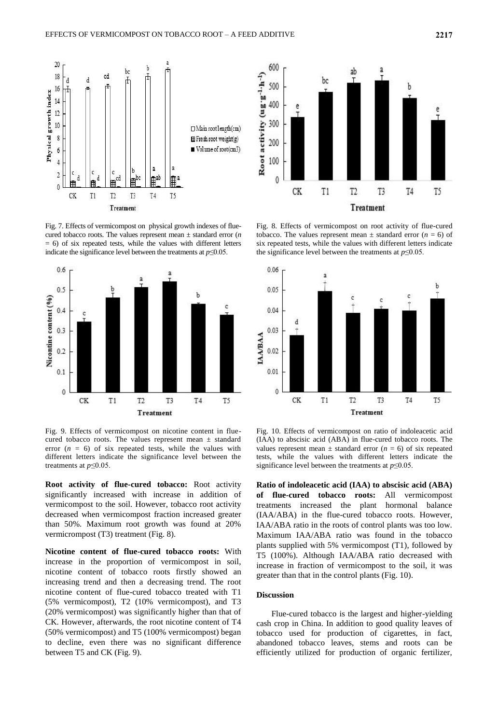

Fig. 7. Effects of vermicompost on physical growth indexes of fluecured tobacco roots. The values represent mean ± standard error (*n*  $= 6$ ) of six repeated tests, while the values with different letters indicate the significance level between the treatments at *p*≤0.05.



Fig. 9. Effects of vermicompost on nicotine content in fluecured tobacco roots. The values represent mean  $\pm$  standard error  $(n = 6)$  of six repeated tests, while the values with different letters indicate the significance level between the treatments at  $p \leq 0.05$ .

**Root activity of flue-cured tobacco:** Root activity significantly increased with increase in addition of vermicompost to the soil. However, tobacco root activity decreased when vermicompost fraction increased greater than 50%. Maximum root growth was found at 20% vermicrompost (T3) treatment (Fig. 8).

**Nicotine content of flue-cured tobacco roots:** With increase in the proportion of vermicompost in soil, nicotine content of tobacco roots firstly showed an increasing trend and then a decreasing trend. The root nicotine content of flue-cured tobacco treated with T1 (5% vermicompost), T2 (10% vermicompost), and T3 (20% vermicompost) was significantly higher than that of CK. However, afterwards, the root nicotine content of T4 (50% vermicompost) and T5 (100% vermicompost) began to decline, even there was no significant difference between T5 and CK (Fig. 9).



Fig. 8. Effects of vermicompost on root activity of flue-cured tobacco. The values represent mean  $\pm$  standard error ( $n = 6$ ) of six repeated tests, while the values with different letters indicate the significance level between the treatments at *p*≤0.05.



Fig. 10. Effects of vermicompost on ratio of indoleacetic acid (IAA) to abscisic acid (ABA) in flue-cured tobacco roots. The values represent mean  $\pm$  standard error ( $n = 6$ ) of six repeated tests, while the values with different letters indicate the significance level between the treatments at *p*≤0.05.

**Ratio of indoleacetic acid (IAA) to abscisic acid (ABA) of flue-cured tobacco roots:** All vermicompost treatments increased the plant hormonal balance (IAA/ABA) in the flue-cured tobacco roots. However, IAA/ABA ratio in the roots of control plants was too low. Maximum IAA/ABA ratio was found in the tobacco plants supplied with 5% vermicompost (T1), followed by T5 (100%). Although IAA/ABA ratio decreased with increase in fraction of vermicompost to the soil, it was greater than that in the control plants (Fig. 10).

### **Discussion**

Flue-cured tobacco is the largest and higher-yielding cash crop in China. In addition to good quality leaves of tobacco used for production of cigarettes, in fact, abandoned tobacco leaves, stems and roots can be efficiently utilized for production of organic fertilizer,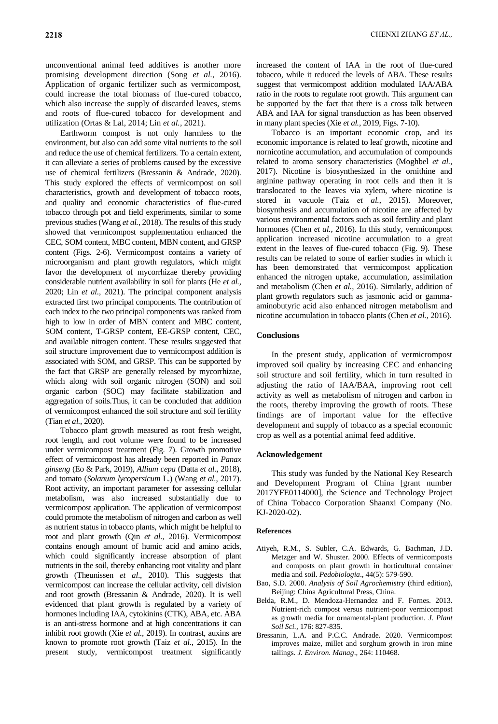unconventional animal feed additives is another more promising development direction (Song *et al.*, 2016). Application of organic fertilizer such as vermicompost, could increase the total biomass of flue-cured tobacco, which also increase the supply of discarded leaves, stems and roots of flue-cured tobacco for development and utilization (Ortas & Lal, 2014; Lin *et al.*, 2021).

Earthworm compost is not only harmless to the environment, but also can add some vital nutrients to the soil and reduce the use of chemical fertilizers. To a certain extent, it can alleviate a series of problems caused by the excessive use of chemical fertilizers (Bressanin & Andrade, 2020). This study explored the effects of vermicompost on soil characteristics, growth and development of tobacco roots, and quality and economic characteristics of flue-cured tobacco through pot and field experiments, similar to some previous studies (Wang *et al.*, 2018). The results of this study showed that vermicompost supplementation enhanced the CEC, SOM content, MBC content, MBN content, and GRSP content (Figs. 2-6). Vermicompost contains a variety of microorganism and plant growth regulators, which might favor the development of mycorrhizae thereby providing considerable nutrient availability in soil for plants (He *et al.*, 2020; Lin *et al.*, 2021). The principal component analysis extracted first two principal components. The contribution of each index to the two principal components was ranked from high to low in order of MBN content and MBC content, SOM content, T-GRSP content, EE-GRSP content, CEC, and available nitrogen content. These results suggested that soil structure improvement due to vermicompost addition is associated with SOM, and GRSP. This can be supported by the fact that GRSP are generally released by mycorrhizae, which along with soil organic nitrogen (SON) and soil organic carbon (SOC) may facilitate stabilization and aggregation of soils.Thus, it can be concluded that addition of vermicompost enhanced the soil structure and soil fertility (Tian *et al.*, 2020).

Tobacco plant growth measured as root fresh weight, root length, and root volume were found to be increased under vermicompost treatment (Fig. 7). Growth promotive effect of vermicompost has already been reported in *Panax ginseng* (Eo & Park, 2019), *Allium cepa* (Datta *et al.*, 2018), and tomato (*Solanum lycopersicum* L.) (Wang *et al.*, 2017). Root activity, an important parameter for assessing cellular metabolism, was also increased substantially due to vermicompost application. The application of vermicompost could promote the metabolism of nitrogen and carbon as well as nutrient status in tobacco plants, which might be helpful to root and plant growth (Qin *et al.*, 2016). Vermicompost contains enough amount of humic acid and amino acids, which could significantly increase absorption of plant nutrients in the soil, thereby enhancing root vitality and plant growth (Theunissen *et al*., 2010). This suggests that vermicompost can increase the cellular activity, cell division and root growth (Bressanin & Andrade, 2020). It is well evidenced that plant growth is regulated by a variety of hormones including IAA, cytokinins (CTK), ABA, etc. ABA is an anti-stress hormone and at high concentrations it can inhibit root growth (Xie *et al.*, 2019). In contrast, auxins are known to promote root growth (Taiz *et al.*, 2015). In the present study, vermicompost treatment significantly increased the content of IAA in the root of flue-cured tobacco, while it reduced the levels of ABA. These results suggest that vermicompost addition modulated IAA/ABA ratio in the roots to regulate root growth. This argument can be supported by the fact that there is a cross talk between ABA and IAA for signal transduction as has been observed in many plant species (Xie *et al.*, 2019, Figs. 7-10).

Tobacco is an important economic crop, and its economic importance is related to leaf growth, nicotine and nornicotine accumulation, and accumulation of compounds related to aroma sensory characteristics (Moghbel *et al.*, 2017). Nicotine is biosynthesized in the ornithine and arginine pathway operating in root cells and then it is translocated to the leaves via xylem, where nicotine is stored in vacuole (Taiz *et al.*, 2015). Moreover, biosynthesis and accumulation of nicotine are affected by various environmental factors such as soil fertility and plant hormones (Chen *et al.*, 2016). In this study, vermicompost application increased nicotine accumulation to a great extent in the leaves of flue-cured tobacco (Fig. 9). These results can be related to some of earlier studies in which it has been demonstrated that vermicompost application enhanced the nitrogen uptake, accumulation, assimilation and metabolism (Chen *et al.*, 2016). Similarly, addition of plant growth regulators such as jasmonic acid or gammaaminobutyric acid also enhanced nitrogen metabolism and nicotine accumulation in tobacco plants (Chen *et al.*, 2016).

## **Conclusions**

In the present study, application of vermicrompost improved soil quality by increasing CEC and enhancing soil structure and soil fertility, which in turn resulted in adjusting the ratio of IAA/BAA, improving root cell activity as well as metabolism of nitrogen and carbon in the roots, thereby improving the growth of roots. These findings are of important value for the effective development and supply of tobacco as a special economic crop as well as a potential animal feed additive.

### **Acknowledgement**

This study was funded by the National Key Research and Development Program of China [grant number 2017YFE0114000], the Science and Technology Project of China Tobacco Corporation Shaanxi Company (No. KJ-2020-02).

#### **References**

- Atiyeh, R.M., S. Subler, C.A. Edwards, G. Bachman, J.D. Metzger and W. Shuster. 2000. Effects of vermicomposts and composts on plant growth in horticultural container media and soil. *Pedobiologia*., 44(5): 579-590.
- Bao, S.D. 2000. *Analysis of Soil Agrochemistry* (third edition), Beijing: China Agricultural Press, China.
- Belda, R.M., D. Mendoza-Hernandez and F. Fornes. 2013. Nutrient-rich compost versus nutrient-poor vermicompost as growth media for ornamental-plant production. *J. Plant Soil Sci.,* 176: 827-835.
- Bressanin, L.A. and P.C.C. Andrade. 2020. Vermicompost improves maize, millet and sorghum growth in iron mine tailings. *J. Environ. Manag*., 264: 110468.